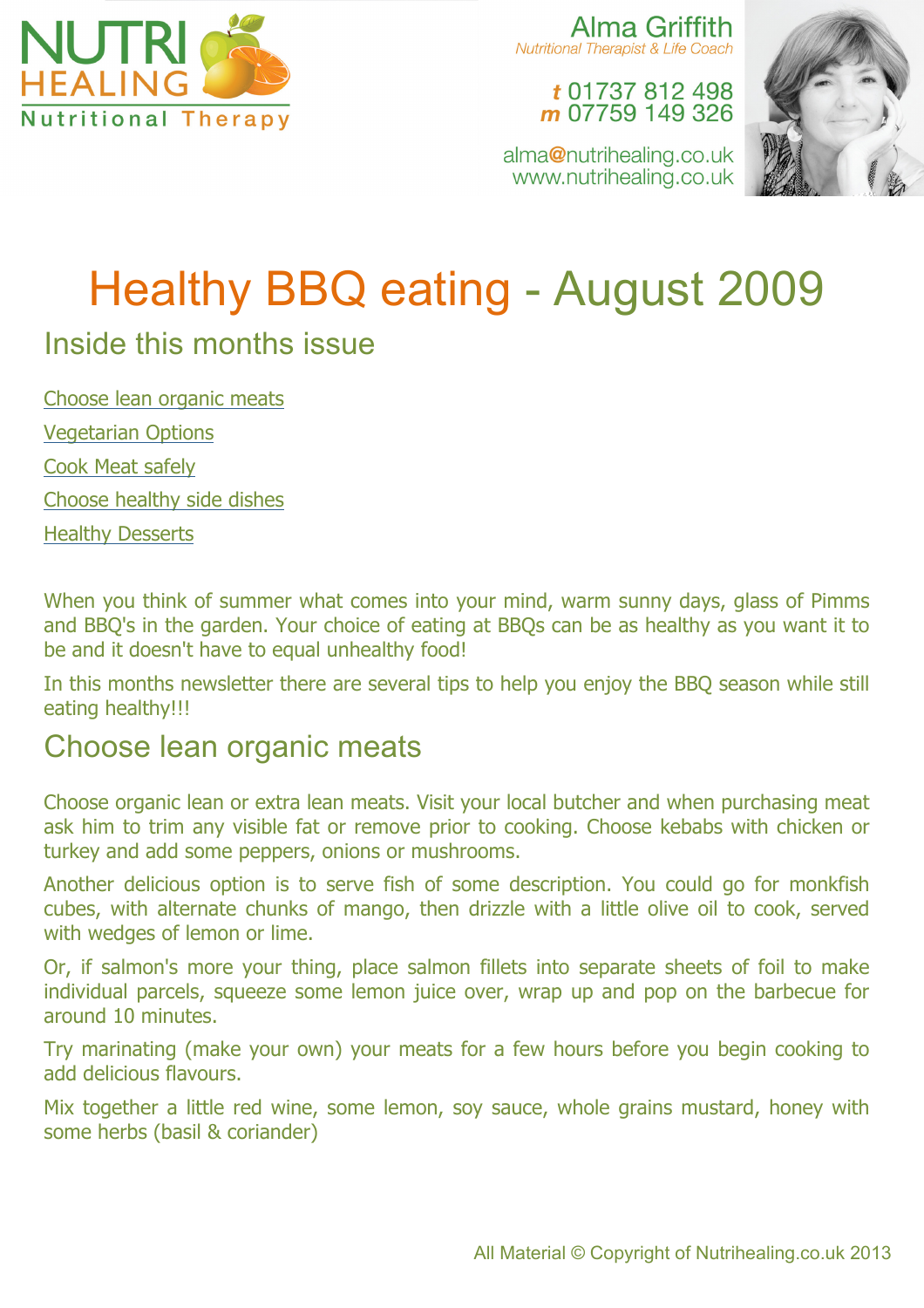

Alma Griffith **Nutritional Therapist & Life Coach** 

t 01737 812 498 m 07759 149 326

alma@nutrihealing.co.uk www.nutrihealing.co.uk



# Healthy BBQ eating - August 2009

## Inside this months issue

Choose lean organic meats Vegetarian Options Cook Meat safely Choose healthy side dishes Healthy Desserts

When you think of summer what comes into your mind, warm sunny days, glass of Pimms and BBQ's in the garden. Your choice of eating at BBQs can be as healthy as you want it to be and it doesn't have to equal unhealthy food!

In this months newsletter there are several tips to help you enjoy the BBQ season while still eating healthy!!!

### Choose lean organic meats

Choose organic lean or extra lean meats. Visit your local butcher and when purchasing meat ask him to trim any visible fat or remove prior to cooking. Choose kebabs with chicken or turkey and add some peppers, onions or mushrooms.

Another delicious option is to serve fish of some description. You could go for monkfish cubes, with alternate chunks of mango, then drizzle with a little olive oil to cook, served with wedges of lemon or lime.

Or, if salmon's more your thing, place salmon fillets into separate sheets of foil to make individual parcels, squeeze some lemon juice over, wrap up and pop on the barbecue for around 10 minutes.

Try marinating (make your own) your meats for a few hours before you begin cooking to add delicious flavours.

Mix together a little red wine, some lemon, soy sauce, whole grains mustard, honey with some herbs (basil & coriander)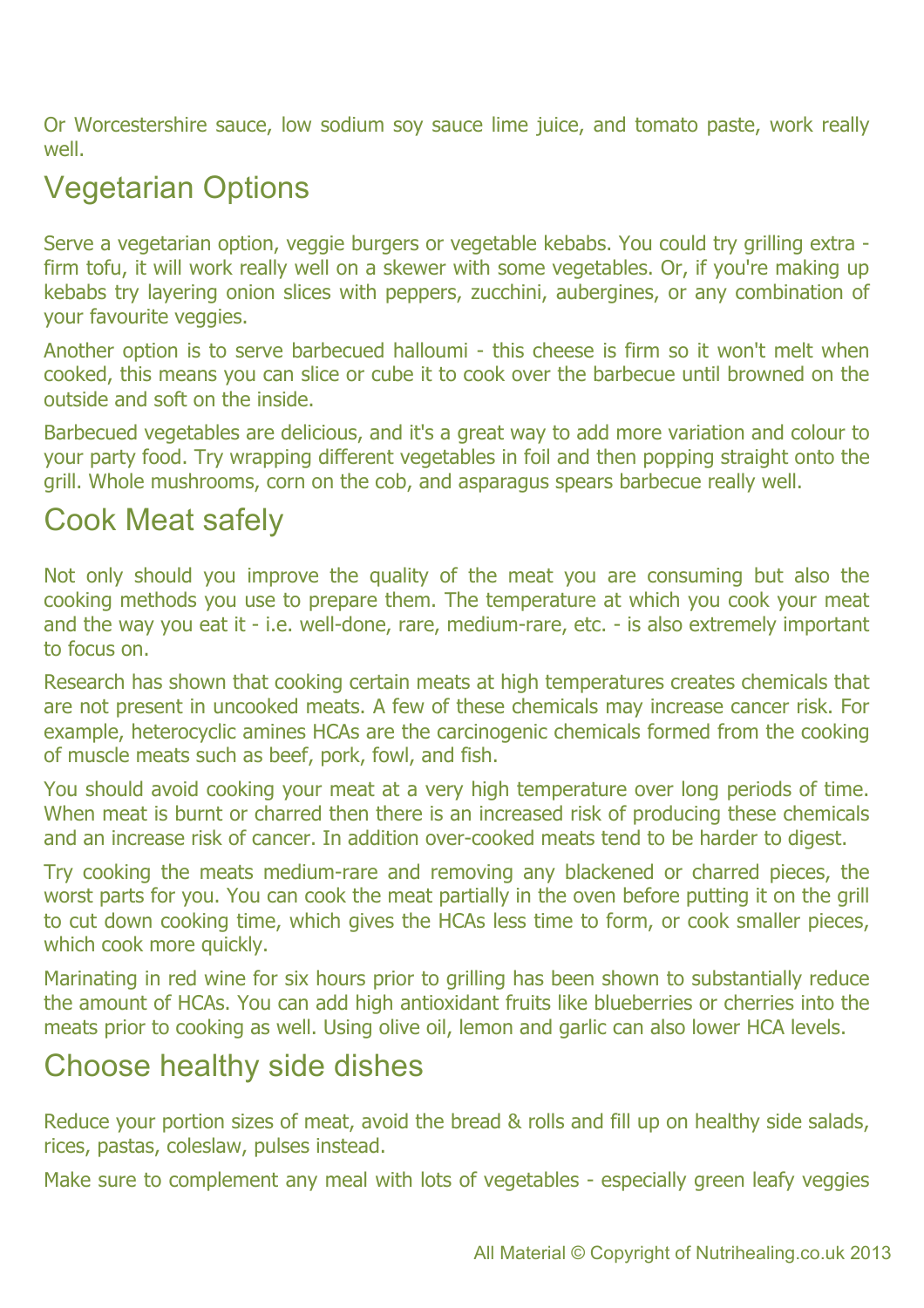Or Worcestershire sauce, low sodium soy sauce lime juice, and tomato paste, work really well.

# Vegetarian Options

Serve a vegetarian option, veggie burgers or vegetable kebabs. You could try grilling extra firm tofu, it will work really well on a skewer with some vegetables. Or, if you're making up kebabs try layering onion slices with peppers, zucchini, aubergines, or any combination of your favourite veggies.

Another option is to serve barbecued halloumi - this cheese is firm so it won't melt when cooked, this means you can slice or cube it to cook over the barbecue until browned on the outside and soft on the inside.

Barbecued vegetables are delicious, and it's a great way to add more variation and colour to your party food. Try wrapping different vegetables in foil and then popping straight onto the grill. Whole mushrooms, corn on the cob, and asparagus spears barbecue really well.

## Cook Meat safely

Not only should you improve the quality of the meat you are consuming but also the cooking methods you use to prepare them. The temperature at which you cook your meat and the way you eat it - i.e. well-done, rare, medium-rare, etc. - is also extremely important to focus on.

Research has shown that cooking certain meats at high temperatures creates chemicals that are not present in uncooked meats. A few of these chemicals may increase cancer risk. For example, heterocyclic amines HCAs are the carcinogenic chemicals formed from the cooking of muscle meats such as beef, pork, fowl, and fish.

You should avoid cooking your meat at a very high temperature over long periods of time. When meat is burnt or charred then there is an increased risk of producing these chemicals and an increase risk of cancer. In addition over-cooked meats tend to be harder to digest.

Try cooking the meats medium-rare and removing any blackened or charred pieces, the worst parts for you. You can cook the meat partially in the oven before putting it on the grill to cut down cooking time, which gives the HCAs less time to form, or cook smaller pieces, which cook more quickly.

Marinating in red wine for six hours prior to grilling has been shown to substantially reduce the amount of HCAs. You can add high antioxidant fruits like blueberries or cherries into the meats prior to cooking as well. Using olive oil, lemon and garlic can also lower HCA levels.

## Choose healthy side dishes

Reduce your portion sizes of meat, avoid the bread & rolls and fill up on healthy side salads, rices, pastas, coleslaw, pulses instead.

Make sure to complement any meal with lots of vegetables - especially green leafy veggies